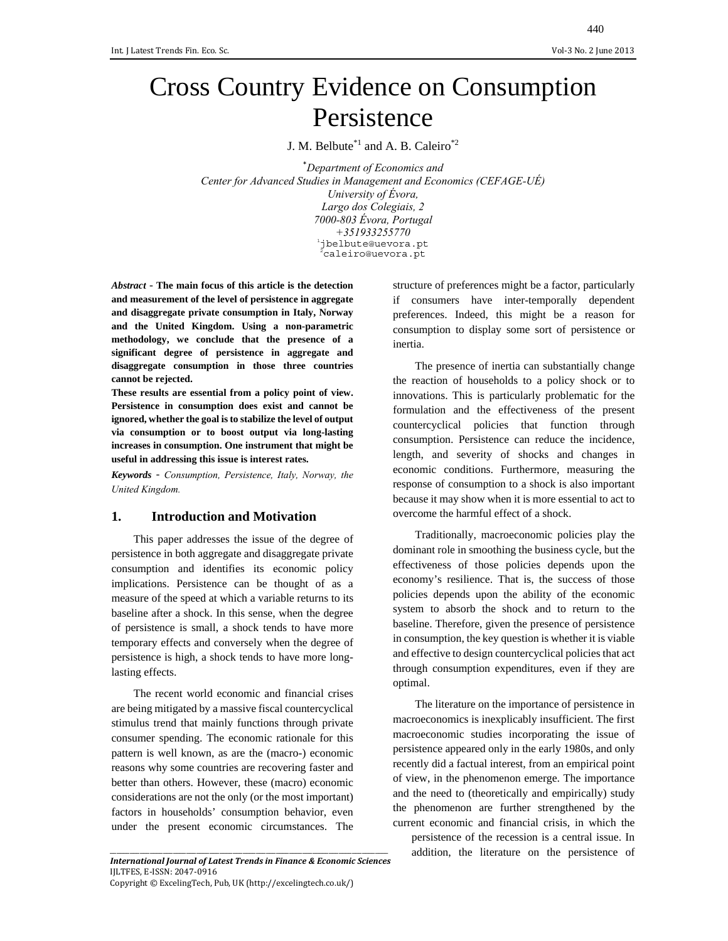# Cross Country Evidence on Consumption Persistence

J. M. Belbute<sup>\*1</sup> and A. B. Caleiro<sup>\*2</sup>

\* *Department of Economics and Center for Advanced Studies in Management and Economics (CEFAGE-UÉ) University of Évora, Largo dos Colegiais, 2 7000-803 Évora, Portugal +351933255770* <sup>1</sup> jbelbute@uevora.pt <sup>2</sup>caleiro@uevora.pt

*Abstract* - **The main focus of this article is the detection and measurement of the level of persistence in aggregate and disaggregate private consumption in Italy, Norway and the United Kingdom. Using a non-parametric methodology, we conclude that the presence of a significant degree of persistence in aggregate and disaggregate consumption in those three countries cannot be rejected.** 

**These results are essential from a policy point of view. Persistence in consumption does exist and cannot be ignored, whether the goal is to stabilize the level of output via consumption or to boost output via long-lasting increases in consumption. One instrument that might be useful in addressing this issue is interest rates.** 

*Keywords* ‐ *Consumption, Persistence, Italy, Norway, the United Kingdom.* 

### **1. Introduction and Motivation**

This paper addresses the issue of the degree of persistence in both aggregate and disaggregate private consumption and identifies its economic policy implications. Persistence can be thought of as a measure of the speed at which a variable returns to its baseline after a shock. In this sense, when the degree of persistence is small, a shock tends to have more temporary effects and conversely when the degree of persistence is high, a shock tends to have more longlasting effects.

The recent world economic and financial crises are being mitigated by a massive fiscal countercyclical stimulus trend that mainly functions through private consumer spending. The economic rationale for this pattern is well known, as are the (macro-) economic reasons why some countries are recovering faster and better than others. However, these (macro) economic considerations are not the only (or the most important) factors in households' consumption behavior, even under the present economic circumstances. The structure of preferences might be a factor, particularly if consumers have inter-temporally dependent preferences. Indeed, this might be a reason for consumption to display some sort of persistence or inertia.

The presence of inertia can substantially change the reaction of households to a policy shock or to innovations. This is particularly problematic for the formulation and the effectiveness of the present countercyclical policies that function through consumption. Persistence can reduce the incidence, length, and severity of shocks and changes in economic conditions. Furthermore, measuring the response of consumption to a shock is also important because it may show when it is more essential to act to overcome the harmful effect of a shock.

Traditionally, macroeconomic policies play the dominant role in smoothing the business cycle, but the effectiveness of those policies depends upon the economy's resilience. That is, the success of those policies depends upon the ability of the economic system to absorb the shock and to return to the baseline. Therefore, given the presence of persistence in consumption, the key question is whether it is viable and effective to design countercyclical policies that act through consumption expenditures, even if they are optimal.

The literature on the importance of persistence in macroeconomics is inexplicably insufficient. The first macroeconomic studies incorporating the issue of persistence appeared only in the early 1980s, and only recently did a factual interest, from an empirical point of view, in the phenomenon emerge. The importance and the need to (theoretically and empirically) study the phenomenon are further strengthened by the current economic and financial crisis, in which the

persistence of the recession is a central issue. In addition, the literature on the persistence of

*International Journal of Latest Trends in Finance & Economic Sciences* IJLTFES, E‐ISSN: 2047‐0916 Copyright © ExcelingTech, Pub, UK (http://excelingtech.co.uk/)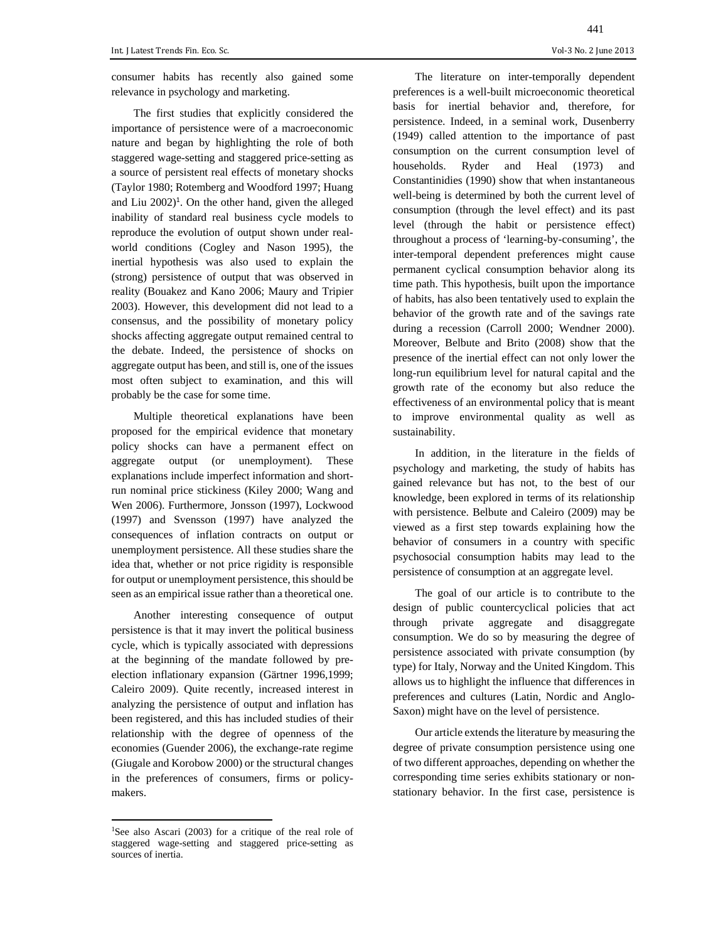consumer habits has recently also gained some relevance in psychology and marketing.

The first studies that explicitly considered the importance of persistence were of a macroeconomic nature and began by highlighting the role of both staggered wage-setting and staggered price-setting as a source of persistent real effects of monetary shocks (Taylor 1980; Rotemberg and Woodford 1997; Huang and Liu 2002)<sup>1</sup>. On the other hand, given the alleged inability of standard real business cycle models to reproduce the evolution of output shown under realworld conditions (Cogley and Nason 1995), the inertial hypothesis was also used to explain the (strong) persistence of output that was observed in reality (Bouakez and Kano 2006; Maury and Tripier 2003). However, this development did not lead to a consensus, and the possibility of monetary policy shocks affecting aggregate output remained central to the debate. Indeed, the persistence of shocks on aggregate output has been, and still is, one of the issues most often subject to examination, and this will probably be the case for some time.

Multiple theoretical explanations have been proposed for the empirical evidence that monetary policy shocks can have a permanent effect on aggregate output (or unemployment). These explanations include imperfect information and shortrun nominal price stickiness (Kiley 2000; Wang and Wen 2006). Furthermore, Jonsson (1997), Lockwood (1997) and Svensson (1997) have analyzed the consequences of inflation contracts on output or unemployment persistence. All these studies share the idea that, whether or not price rigidity is responsible for output or unemployment persistence, this should be seen as an empirical issue rather than a theoretical one.

Another interesting consequence of output persistence is that it may invert the political business cycle, which is typically associated with depressions at the beginning of the mandate followed by preelection inflationary expansion (Gärtner 1996,1999; Caleiro 2009). Quite recently, increased interest in analyzing the persistence of output and inflation has been registered, and this has included studies of their relationship with the degree of openness of the economies (Guender 2006), the exchange-rate regime (Giugale and Korobow 2000) or the structural changes in the preferences of consumers, firms or policymakers.

The literature on inter-temporally dependent preferences is a well-built microeconomic theoretical basis for inertial behavior and, therefore, for persistence. Indeed, in a seminal work, Dusenberry (1949) called attention to the importance of past consumption on the current consumption level of households. Ryder and Heal (1973) and Constantinidies (1990) show that when instantaneous well-being is determined by both the current level of consumption (through the level effect) and its past level (through the habit or persistence effect) throughout a process of 'learning-by-consuming', the inter-temporal dependent preferences might cause permanent cyclical consumption behavior along its time path. This hypothesis, built upon the importance of habits, has also been tentatively used to explain the behavior of the growth rate and of the savings rate during a recession (Carroll 2000; Wendner 2000). Moreover, Belbute and Brito (2008) show that the presence of the inertial effect can not only lower the long-run equilibrium level for natural capital and the growth rate of the economy but also reduce the effectiveness of an environmental policy that is meant to improve environmental quality as well as sustainability.

In addition, in the literature in the fields of psychology and marketing, the study of habits has gained relevance but has not, to the best of our knowledge, been explored in terms of its relationship with persistence. Belbute and Caleiro (2009) may be viewed as a first step towards explaining how the behavior of consumers in a country with specific psychosocial consumption habits may lead to the persistence of consumption at an aggregate level.

The goal of our article is to contribute to the design of public countercyclical policies that act through private aggregate and disaggregate consumption. We do so by measuring the degree of persistence associated with private consumption (by type) for Italy, Norway and the United Kingdom. This allows us to highlight the influence that differences in preferences and cultures (Latin, Nordic and Anglo-Saxon) might have on the level of persistence.

Our article extends the literature by measuring the degree of private consumption persistence using one of two different approaches, depending on whether the corresponding time series exhibits stationary or nonstationary behavior. In the first case, persistence is

<sup>&</sup>lt;sup>1</sup>See also Ascari (2003) for a critique of the real role of staggered wage-setting and staggered price-setting as sources of inertia.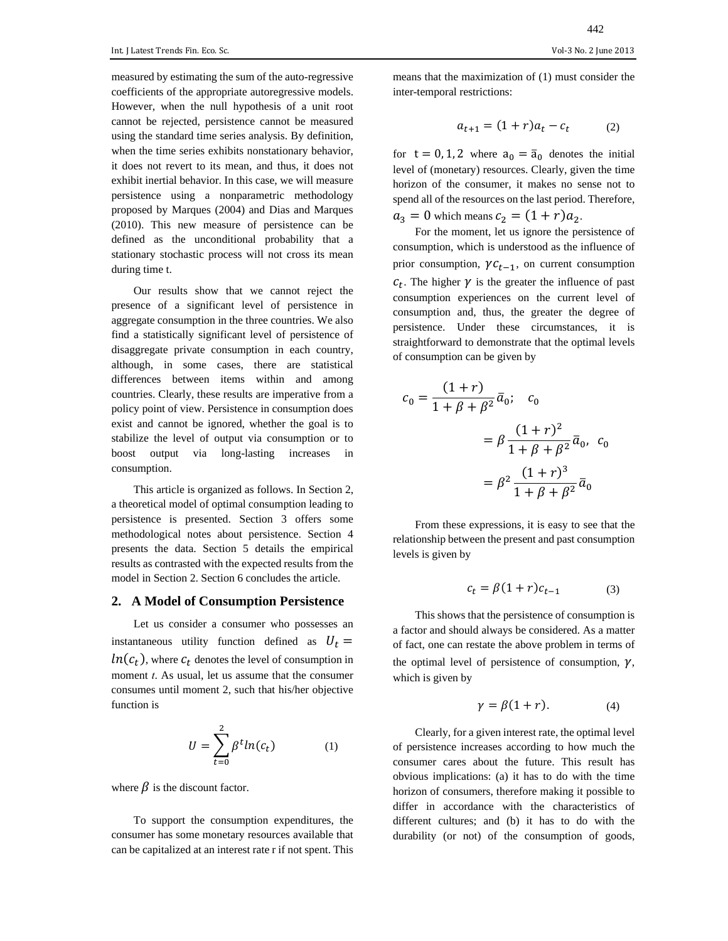measured by estimating the sum of the auto-regressive coefficients of the appropriate autoregressive models. However, when the null hypothesis of a unit root cannot be rejected, persistence cannot be measured using the standard time series analysis. By definition, when the time series exhibits nonstationary behavior, it does not revert to its mean, and thus, it does not exhibit inertial behavior. In this case, we will measure persistence using a nonparametric methodology proposed by Marques (2004) and Dias and Marques (2010). This new measure of persistence can be defined as the unconditional probability that a stationary stochastic process will not cross its mean during time t.

Our results show that we cannot reject the presence of a significant level of persistence in aggregate consumption in the three countries. We also find a statistically significant level of persistence of disaggregate private consumption in each country, although, in some cases, there are statistical differences between items within and among countries. Clearly, these results are imperative from a policy point of view. Persistence in consumption does exist and cannot be ignored, whether the goal is to stabilize the level of output via consumption or to boost output via long-lasting increases in consumption.

This article is organized as follows. In Section 2, a theoretical model of optimal consumption leading to persistence is presented. Section 3 offers some methodological notes about persistence. Section 4 presents the data. Section 5 details the empirical results as contrasted with the expected results from the model in Section 2. Section 6 concludes the article.

#### **2. A Model of Consumption Persistence**

Let us consider a consumer who possesses an instantaneous utility function defined as  $U_t =$  $ln(c_t)$ , where  $c_t$  denotes the level of consumption in moment *t*. As usual, let us assume that the consumer consumes until moment 2, such that his/her objective function is

$$
U = \sum_{t=0}^{2} \beta^t ln(c_t)
$$
 (1)

where  $\beta$  is the discount factor.

To support the consumption expenditures, the consumer has some monetary resources available that can be capitalized at an interest rate r if not spent. This means that the maximization of (1) must consider the inter-temporal restrictions:

$$
a_{t+1} = (1+r)a_t - c_t \t\t(2)
$$

for  $t = 0, 1, 2$  where  $a_0 = \overline{a}_0$  denotes the initial level of (monetary) resources. Clearly, given the time horizon of the consumer, it makes no sense not to spend all of the resources on the last period. Therefore,  $a_3 = 0$  which means  $c_2 = (1 + r)a_2$ .

For the moment, let us ignore the persistence of consumption, which is understood as the influence of prior consumption,  $\gamma c_{t-1}$ , on current consumption  $c_t$ . The higher  $\gamma$  is the greater the influence of past consumption experiences on the current level of consumption and, thus, the greater the degree of persistence. Under these circumstances, it is straightforward to demonstrate that the optimal levels of consumption can be given by

$$
c_0 = \frac{(1+r)}{1+\beta+\beta^2} \bar{a}_0; \quad c_0
$$
  
=  $\beta \frac{(1+r)^2}{1+\beta+\beta^2} \bar{a}_0, \quad c_0$   
=  $\beta^2 \frac{(1+r)^3}{1+\beta+\beta^2} \bar{a}_0$ 

From these expressions, it is easy to see that the relationship between the present and past consumption levels is given by

$$
c_t = \beta (1+r)c_{t-1} \tag{3}
$$

This shows that the persistence of consumption is a factor and should always be considered. As a matter of fact, one can restate the above problem in terms of the optimal level of persistence of consumption,  $\nu$ , which is given by

$$
\gamma = \beta(1+r). \tag{4}
$$

Clearly, for a given interest rate, the optimal level of persistence increases according to how much the consumer cares about the future. This result has obvious implications: (a) it has to do with the time horizon of consumers, therefore making it possible to differ in accordance with the characteristics of different cultures; and (b) it has to do with the durability (or not) of the consumption of goods,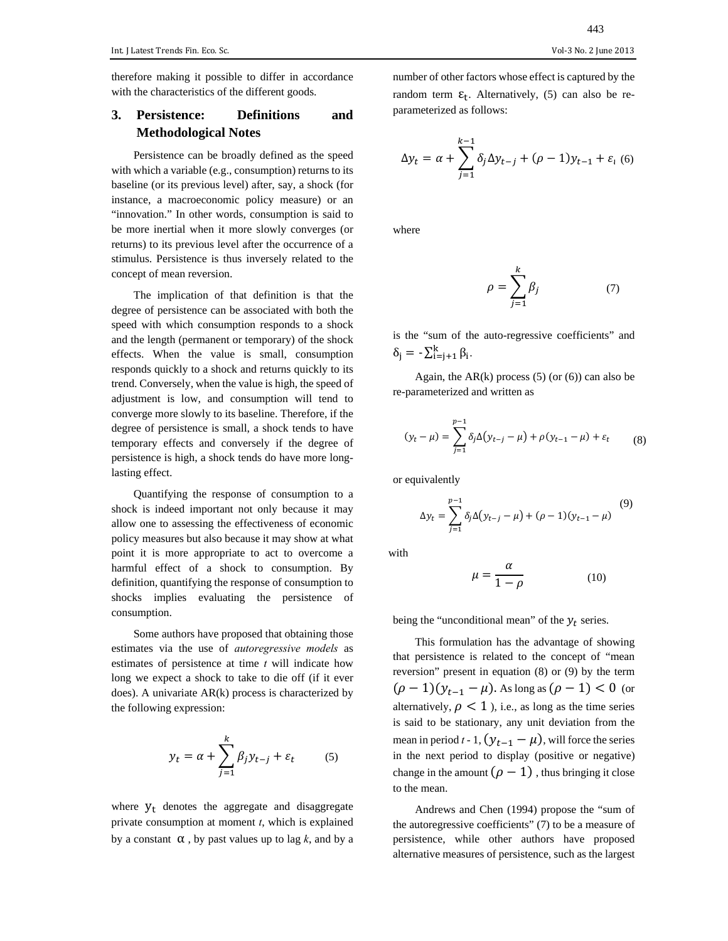therefore making it possible to differ in accordance with the characteristics of the different goods.

# **3. Persistence: Definitions and Methodological Notes**

Persistence can be broadly defined as the speed with which a variable (e.g., consumption) returns to its baseline (or its previous level) after, say, a shock (for instance, a macroeconomic policy measure) or an "innovation." In other words, consumption is said to be more inertial when it more slowly converges (or returns) to its previous level after the occurrence of a stimulus. Persistence is thus inversely related to the concept of mean reversion.

The implication of that definition is that the degree of persistence can be associated with both the speed with which consumption responds to a shock and the length (permanent or temporary) of the shock effects. When the value is small, consumption responds quickly to a shock and returns quickly to its trend. Conversely, when the value is high, the speed of adjustment is low, and consumption will tend to converge more slowly to its baseline. Therefore, if the degree of persistence is small, a shock tends to have temporary effects and conversely if the degree of persistence is high, a shock tends do have more longlasting effect.

Quantifying the response of consumption to a shock is indeed important not only because it may allow one to assessing the effectiveness of economic policy measures but also because it may show at what point it is more appropriate to act to overcome a harmful effect of a shock to consumption. By definition, quantifying the response of consumption to shocks implies evaluating the persistence of consumption.

Some authors have proposed that obtaining those estimates via the use of *autoregressive models* as estimates of persistence at time *t* will indicate how long we expect a shock to take to die off (if it ever does). A univariate AR(k) process is characterized by the following expression:

$$
y_t = \alpha + \sum_{j=1}^k \beta_j y_{t-j} + \varepsilon_t \qquad (5)
$$

where  $y_t$  denotes the aggregate and disaggregate private consumption at moment *t*, which is explained by a constant  $\alpha$ , by past values up to lag *k*, and by a number of other factors whose effect is captured by the random term  $\epsilon_t$ . Alternatively, (5) can also be reparameterized as follows:

$$
\Delta y_t = \alpha + \sum_{j=1}^{k-1} \delta_j \Delta y_{t-j} + (\rho - 1) y_{t-1} + \varepsilon_{\mathfrak{t}} \quad (6)
$$

where

$$
\rho = \sum_{j=1}^{k} \beta_j \tag{7}
$$

is the "sum of the auto-regressive coefficients" and  $\delta_j = -\sum_{i=j+1}^k \beta_i$ .

Again, the  $AR(k)$  process (5) (or (6)) can also be re-parameterized and written as

$$
(y_t - \mu) = \sum_{j=1}^{p-1} \delta_j \Delta (y_{t-j} - \mu) + \rho (y_{t-1} - \mu) + \varepsilon_t \tag{8}
$$

or equivalently

$$
\Delta y_t = \sum_{j=1}^{p-1} \delta_j \Delta(y_{t-j} - \mu) + (\rho - 1)(y_{t-1} - \mu)
$$
\n(9)

with

$$
\mu = \frac{\alpha}{1 - \rho} \tag{10}
$$

being the "unconditional mean" of the  $y_t$  series.

This formulation has the advantage of showing that persistence is related to the concept of "mean reversion" present in equation (8) or (9) by the term  $(\rho - 1)(y_{t-1} - \mu)$ . As long as  $(\rho - 1) < 0$  (or alternatively,  $\rho < 1$ , i.e., as long as the time series is said to be stationary, any unit deviation from the mean in period *t* - 1,  $(y_{t-1} - \mu)$ , will force the series in the next period to display (positive or negative) change in the amount  $(\rho - 1)$ , thus bringing it close to the mean.

Andrews and Chen (1994) propose the "sum of the autoregressive coefficients" (7) to be a measure of persistence, while other authors have proposed alternative measures of persistence, such as the largest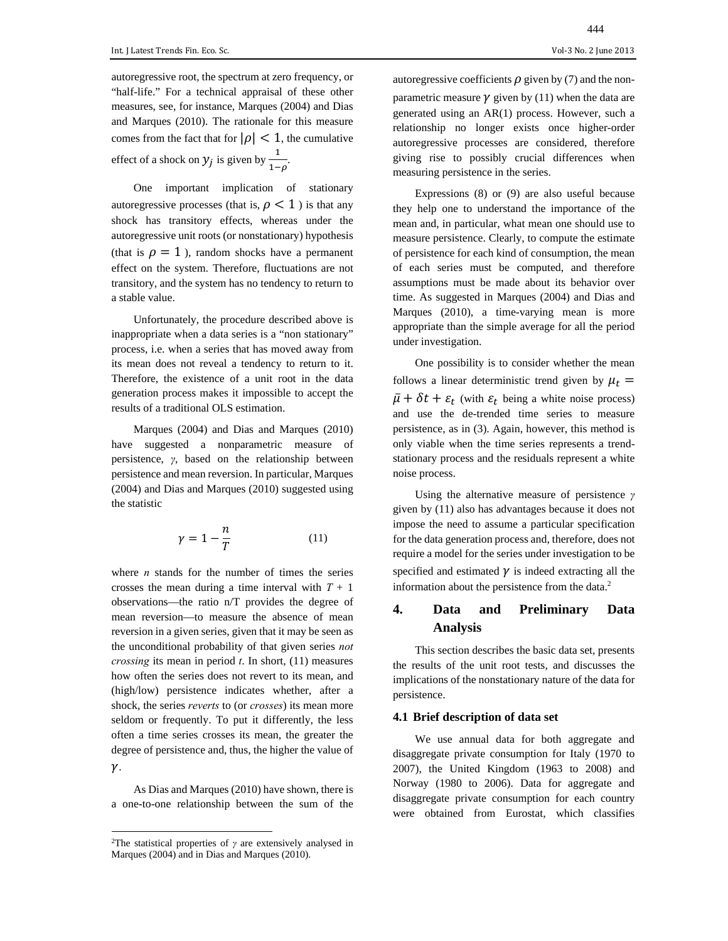autoregressive root, the spectrum at zero frequency, or "half-life." For a technical appraisal of these other measures, see, for instance, Marques (2004) and Dias and Marques (2010). The rationale for this measure comes from the fact that for  $|\rho| < 1$ , the cumulative effect of a shock on  $y_j$  is given by  $\frac{1}{1-\rho}$ .

One important implication of stationary autoregressive processes (that is,  $\rho < 1$ ) is that any shock has transitory effects, whereas under the autoregressive unit roots (or nonstationary) hypothesis (that is  $\rho = 1$ ), random shocks have a permanent effect on the system. Therefore, fluctuations are not transitory, and the system has no tendency to return to a stable value.

Unfortunately, the procedure described above is inappropriate when a data series is a "non stationary" process, i.e. when a series that has moved away from its mean does not reveal a tendency to return to it. Therefore, the existence of a unit root in the data generation process makes it impossible to accept the results of a traditional OLS estimation.

Marques (2004) and Dias and Marques (2010) have suggested a nonparametric measure of persistence, *γ*, based on the relationship between persistence and mean reversion. In particular, Marques (2004) and Dias and Marques (2010) suggested using the statistic

$$
\gamma = 1 - \frac{n}{T} \tag{11}
$$

where *n* stands for the number of times the series crosses the mean during a time interval with  $T + 1$ observations—the ratio n/T provides the degree of mean reversion—to measure the absence of mean reversion in a given series, given that it may be seen as the unconditional probability of that given series *not crossing* its mean in period *t*. In short, (11) measures how often the series does not revert to its mean, and (high/low) persistence indicates whether, after a shock, the series *reverts* to (or *crosses*) its mean more seldom or frequently. To put it differently, the less often a time series crosses its mean, the greater the degree of persistence and, thus, the higher the value of  $\gamma$ .

As Dias and Marques (2010) have shown, there is a one-to-one relationship between the sum of the

autoregressive coefficients  $\rho$  given by (7) and the nonparametric measure  $\gamma$  given by (11) when the data are generated using an AR(1) process. However, such a relationship no longer exists once higher-order autoregressive processes are considered, therefore giving rise to possibly crucial differences when measuring persistence in the series.

Expressions (8) or (9) are also useful because they help one to understand the importance of the mean and, in particular, what mean one should use to measure persistence. Clearly, to compute the estimate of persistence for each kind of consumption, the mean of each series must be computed, and therefore assumptions must be made about its behavior over time. As suggested in Marques (2004) and Dias and Marques (2010), a time-varying mean is more appropriate than the simple average for all the period under investigation.

One possibility is to consider whether the mean follows a linear deterministic trend given by  $\mu_t =$  $\bar{\mu} + \delta t + \varepsilon_t$  (with  $\varepsilon_t$  being a white noise process) and use the de-trended time series to measure persistence, as in (3). Again, however, this method is only viable when the time series represents a trendstationary process and the residuals represent a white noise process.

Using the alternative measure of persistence *γ* given by (11) also has advantages because it does not impose the need to assume a particular specification for the data generation process and, therefore, does not require a model for the series under investigation to be specified and estimated  $\gamma$  is indeed extracting all the information about the persistence from the data.<sup>2</sup>

# **4. Data and Preliminary Data Analysis**

This section describes the basic data set, presents the results of the unit root tests, and discusses the implications of the nonstationary nature of the data for persistence.

#### **4.1 Brief description of data set**

We use annual data for both aggregate and disaggregate private consumption for Italy (1970 to 2007), the United Kingdom (1963 to 2008) and Norway (1980 to 2006). Data for aggregate and disaggregate private consumption for each country were obtained from Eurostat, which classifies

<sup>&</sup>lt;sup>2</sup>The statistical properties of  $\gamma$  are extensively analysed in Marques (2004) and in Dias and Marques (2010).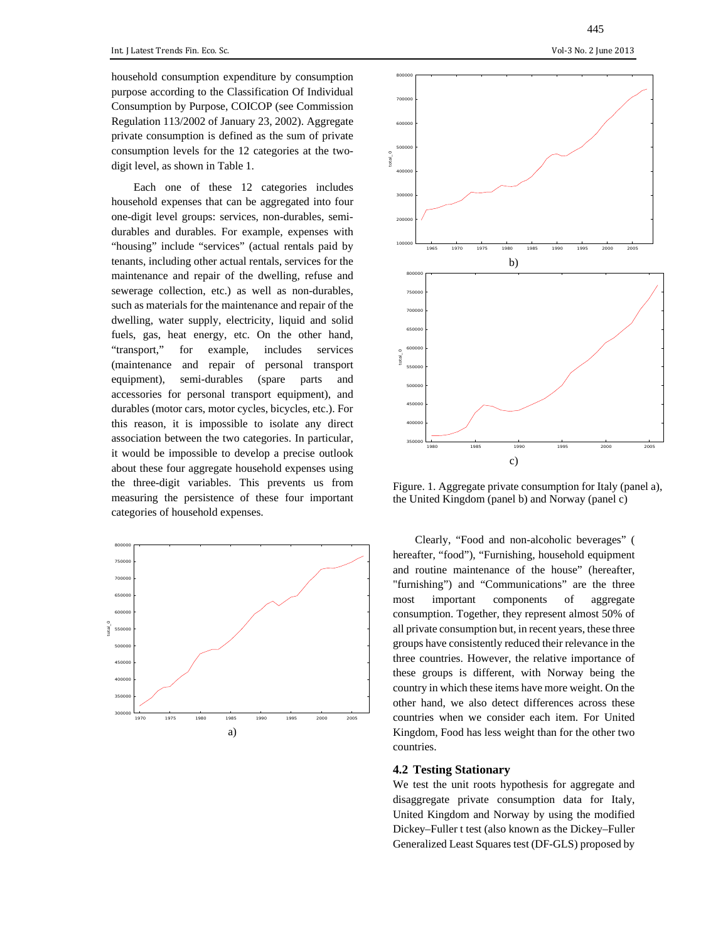household consumption expenditure by consumption purpose according to the Classification Of Individual Consumption by Purpose, COICOP (see Commission Regulation 113/2002 of January 23, 2002). Aggregate private consumption is defined as the sum of private consumption levels for the 12 categories at the twodigit level, as shown in Table 1.

Each one of these 12 categories includes household expenses that can be aggregated into four one-digit level groups: services, non-durables, semidurables and durables. For example, expenses with "housing" include "services" (actual rentals paid by tenants, including other actual rentals, services for the maintenance and repair of the dwelling, refuse and sewerage collection, etc.) as well as non-durables, such as materials for the maintenance and repair of the dwelling, water supply, electricity, liquid and solid fuels, gas, heat energy, etc. On the other hand, "transport," for example, includes services (maintenance and repair of personal transport equipment), semi-durables (spare parts and accessories for personal transport equipment), and durables (motor cars, motor cycles, bicycles, etc.). For this reason, it is impossible to isolate any direct association between the two categories. In particular, it would be impossible to develop a precise outlook about these four aggregate household expenses using the three-digit variables. This prevents us from measuring the persistence of these four important categories of household expenses.





Figure. 1. Aggregate private consumption for Italy (panel a), the United Kingdom (panel b) and Norway (panel c)

Clearly, "Food and non-alcoholic beverages" ( hereafter, "food"), "Furnishing, household equipment and routine maintenance of the house" (hereafter, "furnishing") and "Communications" are the three most important components of aggregate consumption. Together, they represent almost 50% of all private consumption but, in recent years, these three groups have consistently reduced their relevance in the three countries. However, the relative importance of these groups is different, with Norway being the country in which these items have more weight. On the other hand, we also detect differences across these countries when we consider each item. For United Kingdom, Food has less weight than for the other two countries.

#### **4.2 Testing Stationary**

We test the unit roots hypothesis for aggregate and disaggregate private consumption data for Italy, United Kingdom and Norway by using the modified Dickey–Fuller t test (also known as the Dickey–Fuller Generalized Least Squares test (DF-GLS) proposed by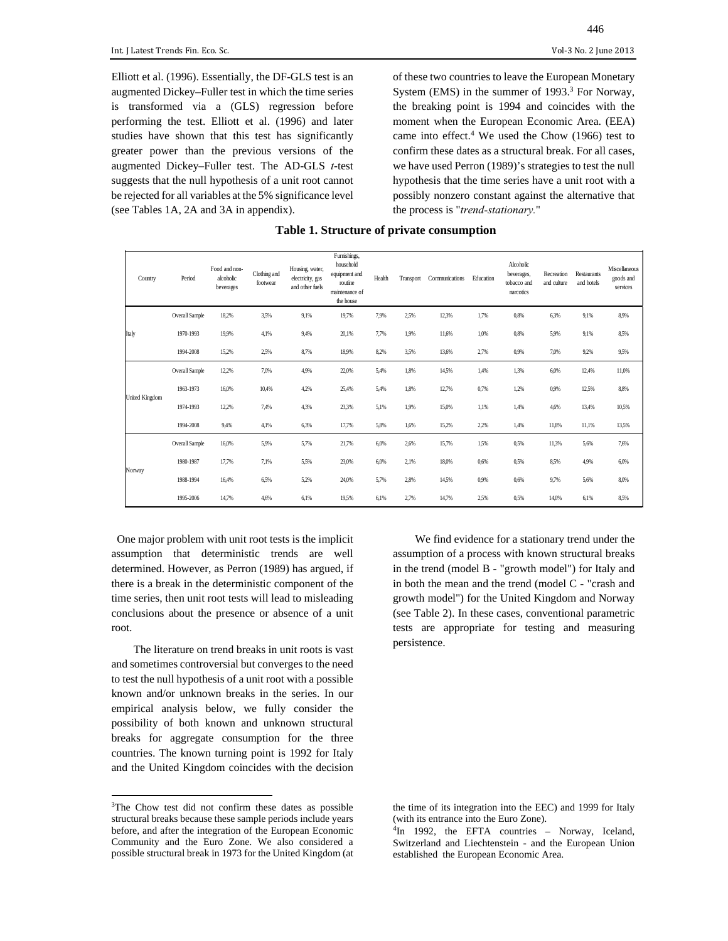Elliott et al. (1996). Essentially, the DF-GLS test is an augmented Dickey–Fuller test in which the time series is transformed via a (GLS) regression before performing the test. Elliott et al. (1996) and later studies have shown that this test has significantly greater power than the previous versions of the augmented Dickey–Fuller test. The AD-GLS *t*-test suggests that the null hypothesis of a unit root cannot be rejected for all variables at the 5% significance level (see Tables 1A, 2A and 3A in appendix).

of these two countries to leave the European Monetary System (EMS) in the summer of 1993.<sup>3</sup> For Norway, the breaking point is 1994 and coincides with the moment when the European Economic Area. (EEA) came into effect. $4$  We used the Chow (1966) test to confirm these dates as a structural break. For all cases, we have used Perron (1989)'s strategies to test the null hypothesis that the time series have a unit root with a possibly nonzero constant against the alternative that the process is "*trend-stationary.*"

| Country               | Period         | Food and non-<br>alcoholic<br>beverages | Clothing and<br>footwear | Housing, water,<br>electricity, gas<br>and other fuels | Furnishings,<br>household<br>equipment and<br>routine<br>maintenance of<br>the house | Health | Transport | Communications | Education | Alcoholic<br>beverages,<br>tobacco and<br>narcotics | Recreation<br>and culture | Restaurants<br>and hotels | Miscellaneous<br>goods and<br>services |
|-----------------------|----------------|-----------------------------------------|--------------------------|--------------------------------------------------------|--------------------------------------------------------------------------------------|--------|-----------|----------------|-----------|-----------------------------------------------------|---------------------------|---------------------------|----------------------------------------|
|                       | Overall Sample | 18,2%                                   | 3,5%                     | 9,1%                                                   | 19,7%                                                                                | 7,9%   | 2.5%      | 12,3%          | 1,7%      | 0.8%                                                | 6,3%                      | 9,1%                      | 8.9%                                   |
| Italy                 | 1970-1993      | 19.9%                                   | 4,1%                     | 9,4%                                                   | 20,1%                                                                                | 7,7%   | 1.9%      | 11,6%          | 1,0%      | 0.8%                                                | 5.9%                      | 9,1%                      | 8,5%                                   |
|                       | 1994-2008      | 15,2%                                   | 2,5%                     | 8.7%                                                   | 18,9%                                                                                | 8,2%   | 3.5%      | 13,6%          | 2,7%      | 0.9%                                                | 7,0%                      | 9,2%                      | 9,5%                                   |
|                       | Overall Sample | 12,2%                                   | 7,0%                     | 4,9%                                                   | 22,0%                                                                                | 5,4%   | 1,8%      | 14,5%          | 1,4%      | 1.3%                                                | 6,0%                      | 12,4%                     | 11,0%                                  |
| <b>United Kingdom</b> | 1963-1973      | 16,0%                                   | 10,4%                    | 4.2%                                                   | 25,4%                                                                                | 5,4%   | 1,8%      | 12,7%          | 0,7%      | 1,2%                                                | 0,9%                      | 12,5%                     | 8,8%                                   |
|                       | 1974-1993      | 12,2%                                   | 7,4%                     | 4.3%                                                   | 23,3%                                                                                | 5,1%   | 1.9%      | 15,0%          | 1,1%      | 1,4%                                                | 4,6%                      | 13,4%                     | 10,5%                                  |
|                       | 1994-2008      | 9,4%                                    | 4,1%                     | 6,3%                                                   | 17,7%                                                                                | 5,8%   | 1,6%      | 15,2%          | 2,2%      | 1,4%                                                | 11,8%                     | 11,1%                     | 13,5%                                  |
|                       | Overall Sample | 16,0%                                   | 5.9%                     | 5,7%                                                   | 21,7%                                                                                | 6,0%   | 2,6%      | 15,7%          | 1,5%      | 0,5%                                                | 11,3%                     | 5,6%                      | 7,6%                                   |
| Norway                | 1980-1987      | 17,7%                                   | 7,1%                     | 5.5%                                                   | 23,0%                                                                                | 6.0%   | 2.1%      | 18,0%          | 0,6%      | 0.5%                                                | 8,5%                      | 4,9%                      | 6,0%                                   |
|                       | 1988-1994      | 16.4%                                   | 6,5%                     | 5.2%                                                   | 24,0%                                                                                | 5,7%   | 2,8%      | 14,5%          | 0.9%      | 0.6%                                                | 9,7%                      | 5,6%                      | 8,0%                                   |
|                       | 1995-2006      | 14,7%                                   | 4,6%                     | 6.1%                                                   | 19,5%                                                                                | 6,1%   | 2,7%      | 14,7%          | 2,5%      | 0,5%                                                | 14,0%                     | 6,1%                      | 8,5%                                   |

#### **Table 1. Structure of private consumption**

 One major problem with unit root tests is the implicit assumption that deterministic trends are well determined. However, as Perron (1989) has argued, if there is a break in the deterministic component of the time series, then unit root tests will lead to misleading conclusions about the presence or absence of a unit root.

The literature on trend breaks in unit roots is vast and sometimes controversial but converges to the need to test the null hypothesis of a unit root with a possible known and/or unknown breaks in the series. In our empirical analysis below, we fully consider the possibility of both known and unknown structural breaks for aggregate consumption for the three countries. The known turning point is 1992 for Italy and the United Kingdom coincides with the decision

We find evidence for a stationary trend under the assumption of a process with known structural breaks in the trend (model B - "growth model") for Italy and in both the mean and the trend (model C - "crash and growth model") for the United Kingdom and Norway (see Table 2). In these cases, conventional parametric tests are appropriate for testing and measuring persistence.

<sup>3</sup>The Chow test did not confirm these dates as possible structural breaks because these sample periods include years before, and after the integration of the European Economic Community and the Euro Zone. We also considered a possible structural break in 1973 for the United Kingdom (at

the time of its integration into the EEC) and 1999 for Italy (with its entrance into the Euro Zone).

<sup>&</sup>lt;sup>4</sup>In 1992, the EFTA countries - Norway, Iceland, Switzerland and Liechtenstein - and the European Union established the European Economic Area.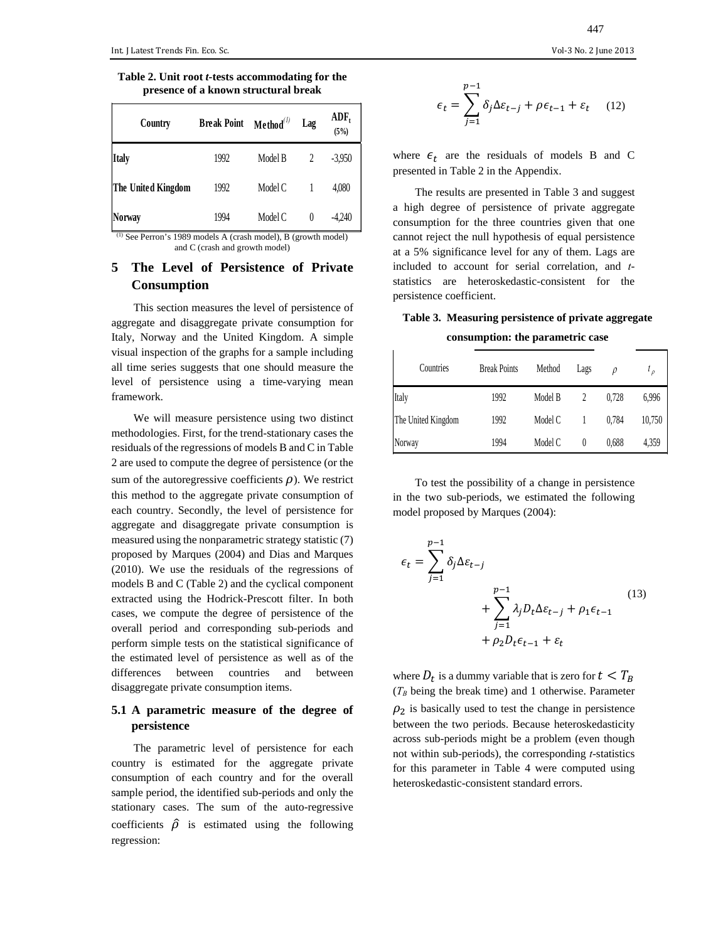**Table 2. Unit root** *t-***tests accommodating for the presence of a known structural break** 

| Country                                                                   | <b>Break Point</b> | Method <sup>(1)</sup> | Lag      | $ADF_t$<br>(5%) |
|---------------------------------------------------------------------------|--------------------|-----------------------|----------|-----------------|
| <b>Italy</b>                                                              | 1992               | Model B               |          | $-3.950$        |
| The United Kingdom                                                        | 1992               | Model C               |          | 4,080           |
| Norway                                                                    | 1994               | Model C               | $\theta$ | -4.240          |
| <sup>(1)</sup> See Perron's 1989 models A (crash model), B (growth model) |                    |                       |          |                 |

and C (crash and growth model)

# **5 The Level of Persistence of Private Consumption**

This section measures the level of persistence of aggregate and disaggregate private consumption for Italy, Norway and the United Kingdom. A simple visual inspection of the graphs for a sample including all time series suggests that one should measure the level of persistence using a time-varying mean framework.

We will measure persistence using two distinct methodologies. First, for the trend-stationary cases the residuals of the regressions of models B and C in Table 2 are used to compute the degree of persistence (or the sum of the autoregressive coefficients  $\rho$ ). We restrict this method to the aggregate private consumption of each country. Secondly, the level of persistence for aggregate and disaggregate private consumption is measured using the nonparametric strategy statistic (7) proposed by Marques (2004) and Dias and Marques (2010). We use the residuals of the regressions of models B and C (Table 2) and the cyclical component extracted using the Hodrick-Prescott filter. In both cases, we compute the degree of persistence of the overall period and corresponding sub-periods and perform simple tests on the statistical significance of the estimated level of persistence as well as of the differences between countries and between disaggregate private consumption items.

#### **5.1 A parametric measure of the degree of persistence**

The parametric level of persistence for each country is estimated for the aggregate private consumption of each country and for the overall sample period, the identified sub-periods and only the stationary cases. The sum of the auto-regressive coefficients  $\hat{\rho}$  is estimated using the following regression:

$$
\epsilon_t = \sum_{j=1}^{p-1} \delta_j \Delta \varepsilon_{t-j} + \rho \epsilon_{t-1} + \varepsilon_t \quad (12)
$$

where  $\epsilon_t$  are the residuals of models B and C presented in Table 2 in the Appendix.

The results are presented in Table 3 and suggest a high degree of persistence of private aggregate consumption for the three countries given that one cannot reject the null hypothesis of equal persistence at a 5% significance level for any of them. Lags are included to account for serial correlation, and *t*statistics are heteroskedastic-consistent for the persistence coefficient.

**Table 3. Measuring persistence of private aggregate** 

**consumption: the parametric case** 

| Countries          | <b>Break Points</b> | Method  | Lags     | D     | $t_{\alpha}$ |
|--------------------|---------------------|---------|----------|-------|--------------|
| Italy              | 1992                | Model B |          | 0.728 | 6,996        |
| The United Kingdom | 1992                | Model C |          | 0,784 | 10,750       |
| Norway             | 1994                | Model C | $\theta$ | 0.688 | 4.359        |

To test the possibility of a change in persistence in the two sub-periods, we estimated the following model proposed by Marques (2004):

$$
\epsilon_t = \sum_{j=1}^{p-1} \delta_j \Delta \varepsilon_{t-j}
$$
  
+ 
$$
\sum_{j=1}^{p-1} \lambda_j D_t \Delta \varepsilon_{t-j} + \rho_1 \varepsilon_{t-1}
$$
  
+ 
$$
\rho_2 D_t \varepsilon_{t-1} + \varepsilon_t
$$
 (13)

where  $D_t$  is a dummy variable that is zero for  $t < T_R$  $(T_B$  being the break time) and 1 otherwise. Parameter  $\rho_2$  is basically used to test the change in persistence between the two periods. Because heteroskedasticity across sub-periods might be a problem (even though not within sub-periods), the corresponding *t*-statistics for this parameter in Table 4 were computed using heteroskedastic-consistent standard errors.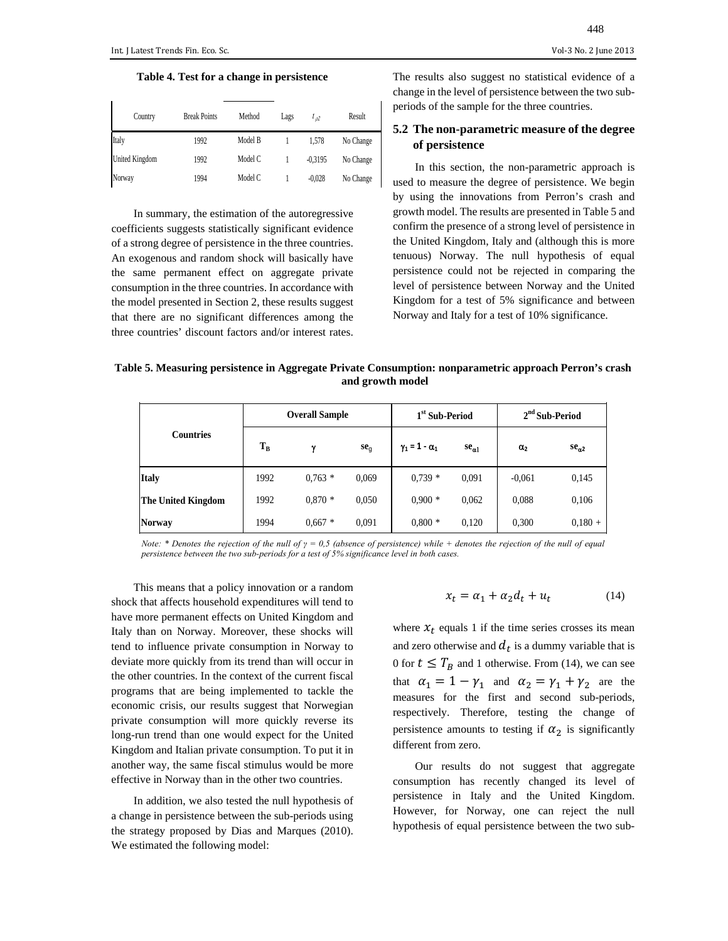**Table 4. Test for a change in persistence** 

|        | Country               | <b>Break Points</b> | Method  | Lags | $t_{\alpha2}$ | Result    |
|--------|-----------------------|---------------------|---------|------|---------------|-----------|
| Italy  |                       | 1992                | Model B |      | 1.578         | No Change |
|        | <b>United Kingdom</b> | 1992                | Model C |      | $-0.3195$     | No Change |
| Norway |                       | 1994                | Model C |      | $-0.028$      | No Change |

In summary, the estimation of the autoregressive coefficients suggests statistically significant evidence of a strong degree of persistence in the three countries. An exogenous and random shock will basically have the same permanent effect on aggregate private consumption in the three countries. In accordance with the model presented in Section 2, these results suggest that there are no significant differences among the three countries' discount factors and/or interest rates. The results also suggest no statistical evidence of a change in the level of persistence between the two subperiods of the sample for the three countries.

#### **5.2 The non-parametric measure of the degree of persistence**

In this section, the non-parametric approach is used to measure the degree of persistence. We begin by using the innovations from Perron's crash and growth model. The results are presented in Table 5 and confirm the presence of a strong level of persistence in the United Kingdom, Italy and (although this is more tenuous) Norway. The null hypothesis of equal persistence could not be rejected in comparing the level of persistence between Norway and the United Kingdom for a test of 5% significance and between Norway and Italy for a test of 10% significance.

**Table 5. Measuring persistence in Aggregate Private Consumption: nonparametric approach Perron's crash and growth model** 

|                           |                       | <b>Overall Sample</b> |                 | 1 <sup>st</sup> Sub-Period |                 | $2nd$ Sub-Period |                |
|---------------------------|-----------------------|-----------------------|-----------------|----------------------------|-----------------|------------------|----------------|
| <b>Countries</b>          | $\mathbf{T}_\text{B}$ | v                     | se <sub>g</sub> | $\gamma_1 = 1 - \alpha_1$  | $se_{\alpha 1}$ | $\alpha_{2}$     | $se_{\alpha2}$ |
| <b>Italy</b>              | 1992                  | $0.763*$              | 0,069           | $0.739*$                   | 0,091           | $-0.061$         | 0,145          |
| <b>The United Kingdom</b> | 1992                  | $0.870*$              | 0,050           | $0.900*$                   | 0,062           | 0.088            | 0,106          |
| <b>Norway</b>             | 1994                  | $0.667*$              | 0,091           | $0,800*$                   | 0,120           | 0,300            | $0,180 +$      |

*Note: \* Denotes the rejection of the null of*  $γ = 0.5$  *(absence of persistence) while + denotes the rejection of the null of equal*  $γ = 0.5$  *(absence of persistence) while + denotes the rejection of the null of equal persistence between the two sub-periods for a test of 5% significance level in both cases.* 

This means that a policy innovation or a random shock that affects household expenditures will tend to have more permanent effects on United Kingdom and Italy than on Norway. Moreover, these shocks will tend to influence private consumption in Norway to deviate more quickly from its trend than will occur in the other countries. In the context of the current fiscal programs that are being implemented to tackle the economic crisis, our results suggest that Norwegian private consumption will more quickly reverse its long-run trend than one would expect for the United Kingdom and Italian private consumption. To put it in another way, the same fiscal stimulus would be more effective in Norway than in the other two countries.

In addition, we also tested the null hypothesis of a change in persistence between the sub-periods using the strategy proposed by Dias and Marques (2010). We estimated the following model:

$$
x_t = \alpha_1 + \alpha_2 d_t + u_t \tag{14}
$$

where  $x_t$  equals 1 if the time series crosses its mean and zero otherwise and  $d_t$  is a dummy variable that is 0 for  $t \leq T_R$  and 1 otherwise. From (14), we can see that  $\alpha_1 = 1 - \gamma_1$  and  $\alpha_2 = \gamma_1 + \gamma_2$  are the measures for the first and second sub-periods, respectively. Therefore, testing the change of persistence amounts to testing if  $\alpha_2$  is significantly different from zero.

Our results do not suggest that aggregate consumption has recently changed its level of persistence in Italy and the United Kingdom. However, for Norway, one can reject the null hypothesis of equal persistence between the two sub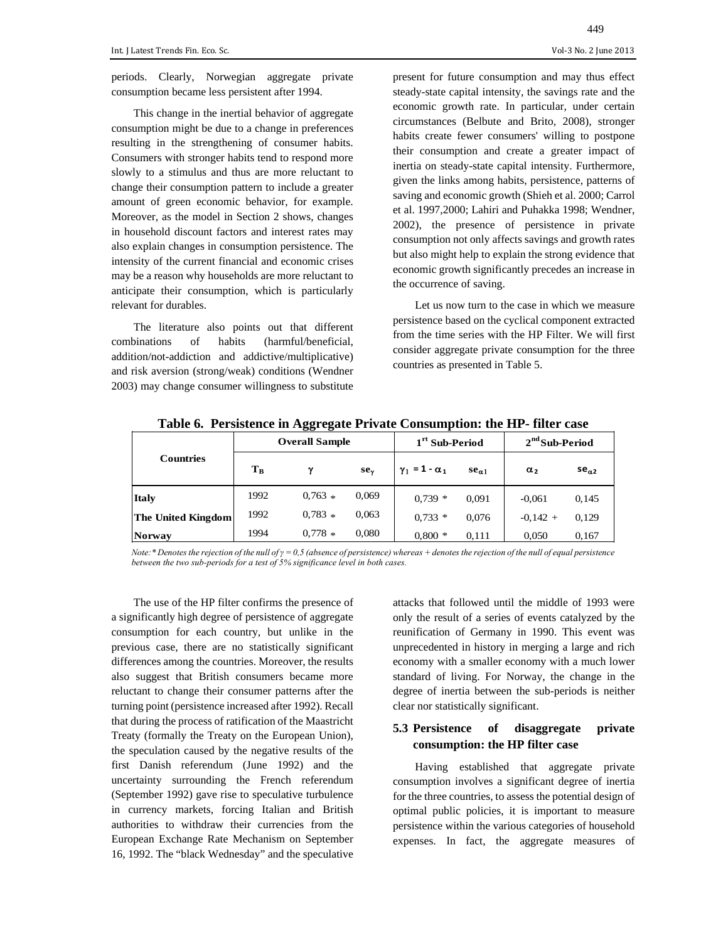periods. Clearly, Norwegian aggregate private consumption became less persistent after 1994.

This change in the inertial behavior of aggregate consumption might be due to a change in preferences resulting in the strengthening of consumer habits. Consumers with stronger habits tend to respond more slowly to a stimulus and thus are more reluctant to change their consumption pattern to include a greater amount of green economic behavior, for example. Moreover, as the model in Section 2 shows, changes in household discount factors and interest rates may also explain changes in consumption persistence. The intensity of the current financial and economic crises may be a reason why households are more reluctant to anticipate their consumption, which is particularly relevant for durables.

The literature also points out that different combinations of habits (harmful/beneficial, addition/not-addiction and addictive/multiplicative) and risk aversion (strong/weak) conditions (Wendner 2003) may change consumer willingness to substitute present for future consumption and may thus effect steady-state capital intensity, the savings rate and the economic growth rate. In particular, under certain circumstances (Belbute and Brito, 2008), stronger habits create fewer consumers' willing to postpone their consumption and create a greater impact of inertia on steady-state capital intensity. Furthermore, given the links among habits, persistence, patterns of saving and economic growth (Shieh et al. 2000; Carrol et al. 1997,2000; Lahiri and Puhakka 1998; Wendner, 2002), the presence of persistence in private consumption not only affects savings and growth rates but also might help to explain the strong evidence that economic growth significantly precedes an increase in the occurrence of saving.

Let us now turn to the case in which we measure persistence based on the cyclical component extracted from the time series with the HP Filter. We will first consider aggregate private consumption for the three countries as presented in Table 5.

|                           |       | <b>Overall Sample</b> |       | 1 <sup>rt</sup> Sub-Period |                 | $2ndSub-Period$ |                |
|---------------------------|-------|-----------------------|-------|----------------------------|-----------------|-----------------|----------------|
| <b>Countries</b>          | $T_B$ | γ                     | se.   | $\gamma_1 = 1 - \alpha_1$  | $se_{\alpha 1}$ | $\alpha_2$      | $se_{\alpha2}$ |
| <b>Italy</b>              | 1992  | $0.763*$              | 0,069 | $0.739*$                   | 0.091           | $-0.061$        | 0,145          |
| <b>The United Kingdom</b> | 1992  | $0.783*$              | 0,063 | $0.733*$                   | 0.076           | $-0.142 +$      | 0,129          |
| <b>Norway</b>             | 1994  | $0.778*$              | 0,080 | $0,800*$                   | 0.111           | 0.050           | 0.167          |

**Table 6. Persistence in Aggregate Private Consumption: the HP- filter case** 

*Note:*\* Denotes the rejection of the null of  $\gamma = 0.5$  (absence of persistence) whereas + denotes the rejection of the null of equal persistence *between the two sub-periods for a test of 5% significance level in both cases.*

The use of the HP filter confirms the presence of a significantly high degree of persistence of aggregate consumption for each country, but unlike in the previous case, there are no statistically significant differences among the countries. Moreover, the results also suggest that British consumers became more reluctant to change their consumer patterns after the turning point (persistence increased after 1992). Recall that during the process of ratification of the Maastricht Treaty (formally the Treaty on the European Union), the speculation caused by the negative results of the first Danish referendum (June 1992) and the uncertainty surrounding the French referendum (September 1992) gave rise to speculative turbulence in currency markets, forcing Italian and British authorities to withdraw their currencies from the European Exchange Rate Mechanism on September 16, 1992. The "black Wednesday" and the speculative

attacks that followed until the middle of 1993 were only the result of a series of events catalyzed by the reunification of Germany in 1990. This event was unprecedented in history in merging a large and rich economy with a smaller economy with a much lower standard of living. For Norway, the change in the degree of inertia between the sub-periods is neither clear nor statistically significant.

#### **5.3 Persistence of disaggregate private consumption: the HP filter case**

Having established that aggregate private consumption involves a significant degree of inertia for the three countries, to assess the potential design of optimal public policies, it is important to measure persistence within the various categories of household expenses. In fact, the aggregate measures of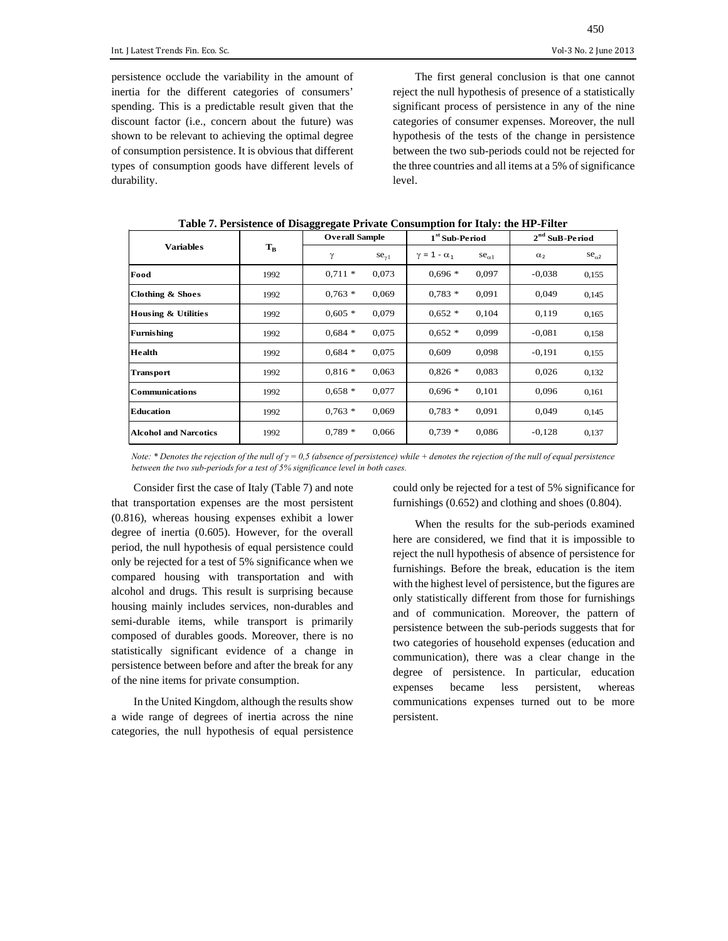persistence occlude the variability in the amount of inertia for the different categories of consumers' spending. This is a predictable result given that the discount factor (i.e., concern about the future) was shown to be relevant to achieving the optimal degree of consumption persistence. It is obvious that different types of consumption goods have different levels of durability.

The first general conclusion is that one cannot reject the null hypothesis of presence of a statistically significant process of persistence in any of the nine categories of consumer expenses. Moreover, the null hypothesis of the tests of the change in persistence between the two sub-periods could not be rejected for the three countries and all items at a 5% of significance level.

|                              |       | <b>Overall Sample</b> |                 | 1 <sup>st</sup> Sub-Period |                 | $2nd$ SuB-Period      |                |
|------------------------------|-------|-----------------------|-----------------|----------------------------|-----------------|-----------------------|----------------|
| <b>Variables</b>             | $T_B$ | γ                     | $se_{\gamma 1}$ | $\gamma = 1 - \alpha_1$    | $se_{\alpha 1}$ | $\alpha$ <sub>2</sub> | $se_{\alpha2}$ |
| Food                         | 1992  | $0.711*$              | 0,073           | $0,696*$                   | 0,097           | $-0.038$              | 0,155          |
| <b>Clothing &amp; Shoes</b>  | 1992  | $0,763*$              | 0,069           | $0.783*$                   | 0,091           | 0,049                 | 0,145          |
| Housing & Utilities          | 1992  | $0.605*$              | 0,079           | $0,652*$                   | 0,104           | 0,119                 | 0,165          |
| <b>Furnishing</b>            | 1992  | $0,684*$              | 0,075           | $0,652*$                   | 0,099           | $-0.081$              | 0,158          |
| Health                       | 1992  | $0.684*$              | 0,075           | 0.609                      | 0,098           | $-0,191$              | 0,155          |
| Transport                    | 1992  | $0.816*$              | 0,063           | $0,826*$                   | 0,083           | 0,026                 | 0,132          |
| <b>Communications</b>        | 1992  | $0,658*$              | 0,077           | $0.696*$                   | 0,101           | 0,096                 | 0,161          |
| <b>Education</b>             | 1992  | $0.763*$              | 0,069           | $0,783*$                   | 0,091           | 0,049                 | 0,145          |
| <b>Alcohol and Narcotics</b> | 1992  | $0.789*$              | 0,066           | $0,739*$                   | 0,086           | $-0,128$              | 0,137          |

| Table 7. Persistence of Disaggregate Private Consumption for Italy: the HP-Filter |  |  |
|-----------------------------------------------------------------------------------|--|--|
|                                                                                   |  |  |

*Note: \* Denotes the rejection of the null of*  $γ = 0,5$  *(absence of persistence) while + denotes the rejection of the null of equal persistence between the two sub-periods for a test of 5% significance level in both cases.* 

Consider first the case of Italy (Table 7) and note that transportation expenses are the most persistent (0.816), whereas housing expenses exhibit a lower degree of inertia (0.605). However, for the overall period, the null hypothesis of equal persistence could only be rejected for a test of 5% significance when we compared housing with transportation and with alcohol and drugs. This result is surprising because housing mainly includes services, non-durables and semi-durable items, while transport is primarily composed of durables goods. Moreover, there is no statistically significant evidence of a change in persistence between before and after the break for any of the nine items for private consumption.

In the United Kingdom, although the results show a wide range of degrees of inertia across the nine categories, the null hypothesis of equal persistence could only be rejected for a test of 5% significance for furnishings (0.652) and clothing and shoes (0.804).

When the results for the sub-periods examined here are considered, we find that it is impossible to reject the null hypothesis of absence of persistence for furnishings. Before the break, education is the item with the highest level of persistence, but the figures are only statistically different from those for furnishings and of communication. Moreover, the pattern of persistence between the sub-periods suggests that for two categories of household expenses (education and communication), there was a clear change in the degree of persistence. In particular, education expenses became less persistent, whereas communications expenses turned out to be more persistent.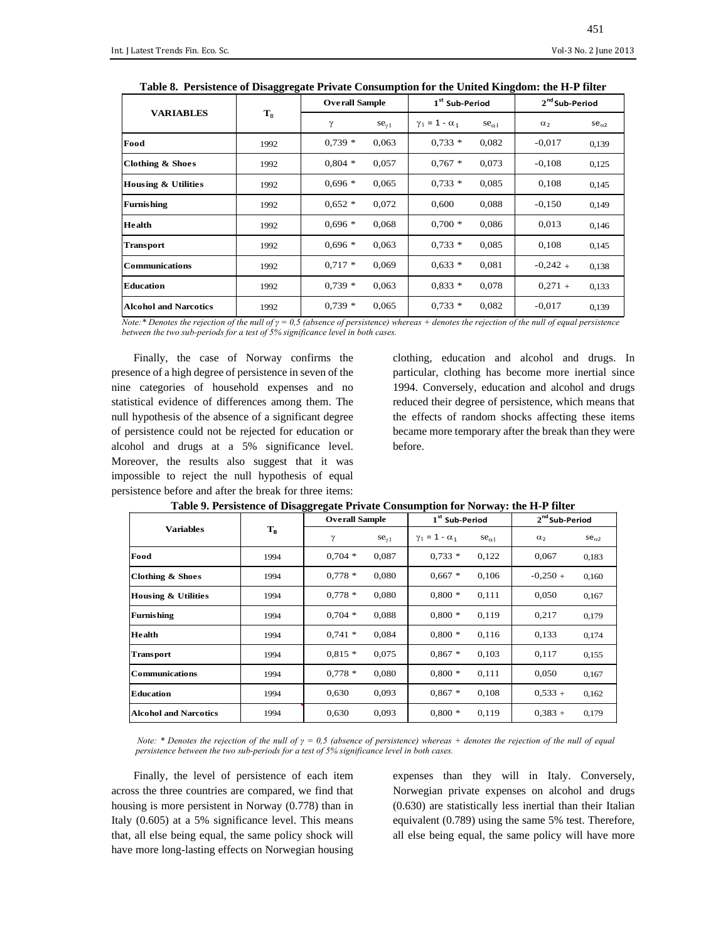|                                | 88<br>-<br>$\mathbf{T}_{\texttt{B}}$ | <b>Overall Sample</b> |                 | 1 <sup>st</sup> Sub-Period |                 | $2nd$ Sub-Period |                |
|--------------------------------|--------------------------------------|-----------------------|-----------------|----------------------------|-----------------|------------------|----------------|
| <b>VARIABLES</b>               |                                      | γ                     | $se_{\gamma 1}$ | $\gamma_1 = 1 - \alpha_1$  | $se_{\alpha 1}$ | $\alpha_2$       | $se_{\alpha2}$ |
| Food                           | 1992                                 | $0,739*$              | 0,063           | $0,733*$                   | 0,082           | $-0.017$         | 0,139          |
| Clothing & Shoes               | 1992                                 | $0,804*$              | 0,057           | $0,767*$                   | 0,073           | $-0.108$         | 0,125          |
| <b>Housing &amp; Utilities</b> | 1992                                 | $0,696*$              | 0,065           | $0,733*$                   | 0,085           | 0,108            | 0,145          |
| <b>Furnishing</b>              | 1992                                 | $0,652*$              | 0,072           | 0.600                      | 0,088           | $-0,150$         | 0,149          |
| <b>Health</b>                  | 1992                                 | $0,696*$              | 0,068           | $0.700*$                   | 0,086           | 0,013            | 0,146          |
| <b>Transport</b>               | 1992                                 | $0,696*$              | 0,063           | $0.733*$                   | 0,085           | 0,108            | 0,145          |
| <b>Communications</b>          | 1992                                 | $0.717*$              | 0,069           | $0,633*$                   | 0,081           | $-0.242 +$       | 0,138          |
| <b>Education</b>               | 1992                                 | $0,739*$              | 0,063           | $0,833*$                   | 0,078           | $0.271 +$        | 0,133          |
| <b>Alcohol and Narcotics</b>   | 1992                                 | $0,739*$              | 0,065           | $0,733*$                   | 0,082           | $-0.017$         | 0,139          |

|  |  |  | Table 8. Persistence of Disaggregate Private Consumption for the United Kingdom: the H-P filter |  |
|--|--|--|-------------------------------------------------------------------------------------------------|--|
|  |  |  |                                                                                                 |  |

*Note:\* Denotes the rejection of the null of*  $\gamma = 0.5$  *(absence of persistence) whereas + denotes the rejection of the null of equal persistence between the two sub-periods for a test of 5% significance level in both cases.* 

Finally, the case of Norway confirms the presence of a high degree of persistence in seven of the nine categories of household expenses and no statistical evidence of differences among them. The null hypothesis of the absence of a significant degree of persistence could not be rejected for education or alcohol and drugs at a 5% significance level. Moreover, the results also suggest that it was impossible to reject the null hypothesis of equal persistence before and after the break for three items: clothing, education and alcohol and drugs. In particular, clothing has become more inertial since 1994. Conversely, education and alcohol and drugs reduced their degree of persistence, which means that the effects of random shocks affecting these items became more temporary after the break than they were before.

|                                |       | <b>Overall Sample</b> |                 | $1st$ Sub-Period                   |                 | $2nd$ Sub-Period      |                |
|--------------------------------|-------|-----------------------|-----------------|------------------------------------|-----------------|-----------------------|----------------|
| <b>Variables</b>               | $T_B$ | γ                     | $se_{\gamma 1}$ | $\gamma_1 = \mathbf{1} - \alpha_1$ | $se_{\alpha 1}$ | $\alpha$ <sub>2</sub> | $se_{\alpha2}$ |
| Food                           | 1994  | $0.704*$              | 0,087           | $0,733*$                           | 0,122           | 0,067                 | 0,183          |
| Clothing & Shoes               | 1994  | $0,778*$              | 0,080           | $0,667*$                           | 0,106           | $-0.250 +$            | 0,160          |
| <b>Housing &amp; Utilities</b> | 1994  | $0,778*$              | 0,080           | $0,800*$                           | 0,111           | 0,050                 | 0,167          |
| <b>Furnishing</b>              | 1994  | $0.704*$              | 0,088           | $0,800*$                           | 0,119           | 0,217                 | 0,179          |
| <b>Health</b>                  | 1994  | $0,741*$              | 0,084           | $0,800*$                           | 0,116           | 0,133                 | 0,174          |
| <b>Transport</b>               | 1994  | $0.815*$              | 0,075           | $0,867*$                           | 0,103           | 0,117                 | 0,155          |
| <b>Communications</b>          | 1994  | $0,778*$              | 0,080           | $0,800*$                           | 0,111           | 0,050                 | 0,167          |
| <b>Education</b>               | 1994  | 0,630                 | 0,093           | $0,867*$                           | 0,108           | $0.533 +$             | 0,162          |
| <b>Alcohol and Narcotics</b>   | 1994  | 0,630                 | 0.093           | $0.800*$                           | 0.119           | $0.383 +$             | 0,179          |

| Table 9. Persistence of Disaggregate Private Consumption for Norway: the H-P filter |  |  |
|-------------------------------------------------------------------------------------|--|--|
|                                                                                     |  |  |

*Note: \* Denotes the rejection of the null of*  $γ = 0.5$  *(absence of persistence) whereas + denotes the rejection of the null of equal persistence between the two sub-periods for a test of 5% significance level in both cases.* 

Finally, the level of persistence of each item across the three countries are compared, we find that housing is more persistent in Norway (0.778) than in Italy (0.605) at a 5% significance level. This means that, all else being equal, the same policy shock will have more long-lasting effects on Norwegian housing expenses than they will in Italy. Conversely, Norwegian private expenses on alcohol and drugs (0.630) are statistically less inertial than their Italian equivalent (0.789) using the same 5% test. Therefore, all else being equal, the same policy will have more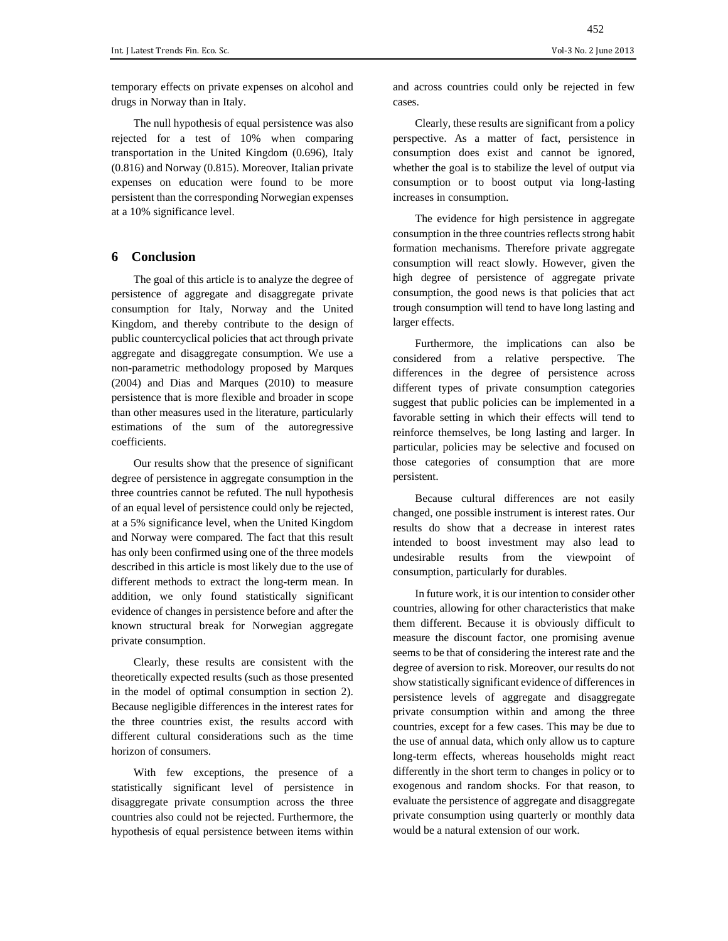temporary effects on private expenses on alcohol and drugs in Norway than in Italy.

The null hypothesis of equal persistence was also rejected for a test of 10% when comparing transportation in the United Kingdom (0.696), Italy (0.816) and Norway (0.815). Moreover, Italian private expenses on education were found to be more persistent than the corresponding Norwegian expenses at a 10% significance level.

#### **6 Conclusion**

The goal of this article is to analyze the degree of persistence of aggregate and disaggregate private consumption for Italy, Norway and the United Kingdom, and thereby contribute to the design of public countercyclical policies that act through private aggregate and disaggregate consumption. We use a non-parametric methodology proposed by Marques (2004) and Dias and Marques (2010) to measure persistence that is more flexible and broader in scope than other measures used in the literature, particularly estimations of the sum of the autoregressive coefficients.

Our results show that the presence of significant degree of persistence in aggregate consumption in the three countries cannot be refuted. The null hypothesis of an equal level of persistence could only be rejected, at a 5% significance level, when the United Kingdom and Norway were compared. The fact that this result has only been confirmed using one of the three models described in this article is most likely due to the use of different methods to extract the long-term mean. In addition, we only found statistically significant evidence of changes in persistence before and after the known structural break for Norwegian aggregate private consumption.

Clearly, these results are consistent with the theoretically expected results (such as those presented in the model of optimal consumption in section 2). Because negligible differences in the interest rates for the three countries exist, the results accord with different cultural considerations such as the time horizon of consumers.

With few exceptions, the presence of a statistically significant level of persistence in disaggregate private consumption across the three countries also could not be rejected. Furthermore, the hypothesis of equal persistence between items within and across countries could only be rejected in few cases.

Clearly, these results are significant from a policy perspective. As a matter of fact, persistence in consumption does exist and cannot be ignored, whether the goal is to stabilize the level of output via consumption or to boost output via long-lasting increases in consumption.

The evidence for high persistence in aggregate consumption in the three countries reflects strong habit formation mechanisms. Therefore private aggregate consumption will react slowly. However, given the high degree of persistence of aggregate private consumption, the good news is that policies that act trough consumption will tend to have long lasting and larger effects.

Furthermore, the implications can also be considered from a relative perspective. The differences in the degree of persistence across different types of private consumption categories suggest that public policies can be implemented in a favorable setting in which their effects will tend to reinforce themselves, be long lasting and larger. In particular, policies may be selective and focused on those categories of consumption that are more persistent.

Because cultural differences are not easily changed, one possible instrument is interest rates. Our results do show that a decrease in interest rates intended to boost investment may also lead to undesirable results from the viewpoint of consumption, particularly for durables.

In future work, it is our intention to consider other countries, allowing for other characteristics that make them different. Because it is obviously difficult to measure the discount factor, one promising avenue seems to be that of considering the interest rate and the degree of aversion to risk. Moreover, our results do not show statistically significant evidence of differences in persistence levels of aggregate and disaggregate private consumption within and among the three countries, except for a few cases. This may be due to the use of annual data, which only allow us to capture long-term effects, whereas households might react differently in the short term to changes in policy or to exogenous and random shocks. For that reason, to evaluate the persistence of aggregate and disaggregate private consumption using quarterly or monthly data would be a natural extension of our work.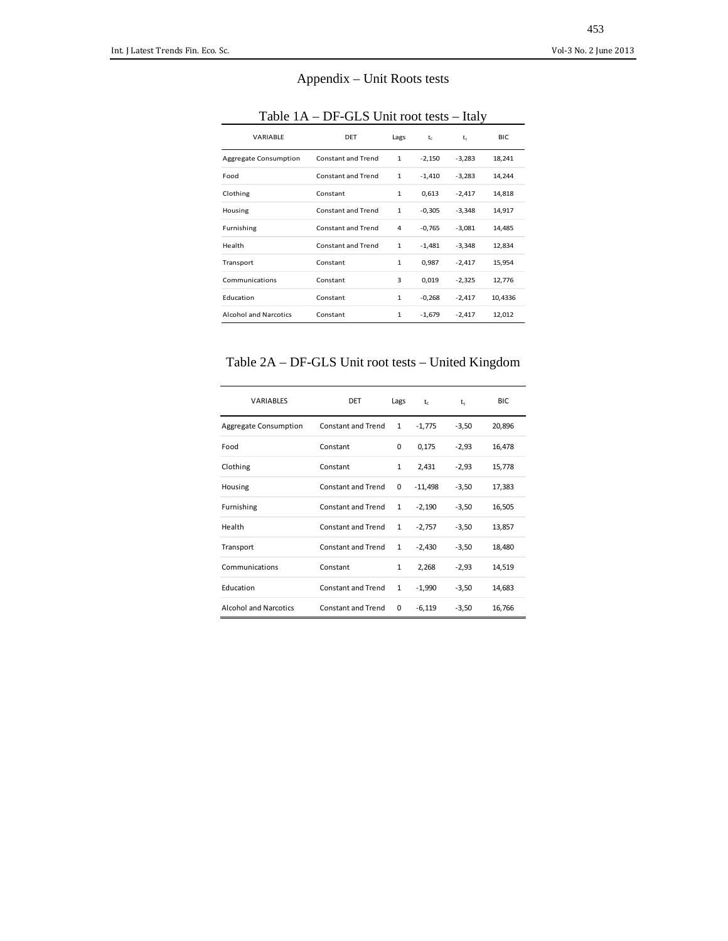| Appendix – Unit Roots tests |  |  |
|-----------------------------|--|--|
|-----------------------------|--|--|

|                              |                           |              |          | $\checkmark$ |            |
|------------------------------|---------------------------|--------------|----------|--------------|------------|
| VARIABLE                     | <b>DET</b>                | Lags         | $t_c$    | $t_{\tau}$   | <b>BIC</b> |
| Aggregate Consumption        | <b>Constant and Trend</b> | $\mathbf{1}$ | $-2,150$ | $-3,283$     | 18,241     |
| Food                         | <b>Constant and Trend</b> | $\mathbf{1}$ | $-1,410$ | $-3,283$     | 14,244     |
| Clothing                     | Constant                  | $\mathbf{1}$ | 0,613    | $-2,417$     | 14,818     |
| Housing                      | <b>Constant and Trend</b> | $\mathbf{1}$ | $-0,305$ | $-3,348$     | 14,917     |
| Furnishing                   | <b>Constant and Trend</b> | 4            | $-0,765$ | $-3,081$     | 14,485     |
| Health                       | <b>Constant and Trend</b> | $\mathbf{1}$ | $-1,481$ | $-3,348$     | 12,834     |
| Transport                    | Constant                  | $\mathbf{1}$ | 0,987    | $-2,417$     | 15,954     |
| Communications               | Constant                  | 3            | 0,019    | $-2,325$     | 12,776     |
| Education                    | Constant                  | $\mathbf{1}$ | $-0,268$ | $-2,417$     | 10,4336    |
| <b>Alcohol and Narcotics</b> | Constant                  | 1            | $-1,679$ | $-2,417$     | 12,012     |

Table 1A – DF-GLS Unit root tests – Italy

Table 2A – DF-GLS Unit root tests – United Kingdom

| <b>VARIABLES</b>             | <b>DET</b>                | Lags         | $t_c$     | t,      | <b>BIC</b> |
|------------------------------|---------------------------|--------------|-----------|---------|------------|
| Aggregate Consumption        | <b>Constant and Trend</b> | 1            | $-1,775$  | $-3,50$ | 20,896     |
| Food                         | Constant                  | 0            | 0,175     | $-2,93$ | 16,478     |
| Clothing                     | Constant                  | $\mathbf{1}$ | 2,431     | $-2,93$ | 15,778     |
| Housing                      | <b>Constant and Trend</b> | $\Omega$     | $-11,498$ | $-3,50$ | 17,383     |
| Furnishing                   | <b>Constant and Trend</b> | $\mathbf{1}$ | $-2,190$  | $-3,50$ | 16,505     |
| Health                       | <b>Constant and Trend</b> | 1            | $-2,757$  | $-3,50$ | 13,857     |
| Transport                    | <b>Constant and Trend</b> | 1            | $-2,430$  | $-3,50$ | 18,480     |
| Communications               | Constant                  | $\mathbf{1}$ | 2,268     | $-2,93$ | 14,519     |
| Education                    | <b>Constant and Trend</b> | 1            | $-1,990$  | $-3,50$ | 14,683     |
| <b>Alcohol and Narcotics</b> | <b>Constant and Trend</b> | 0            | $-6,119$  | $-3,50$ | 16,766     |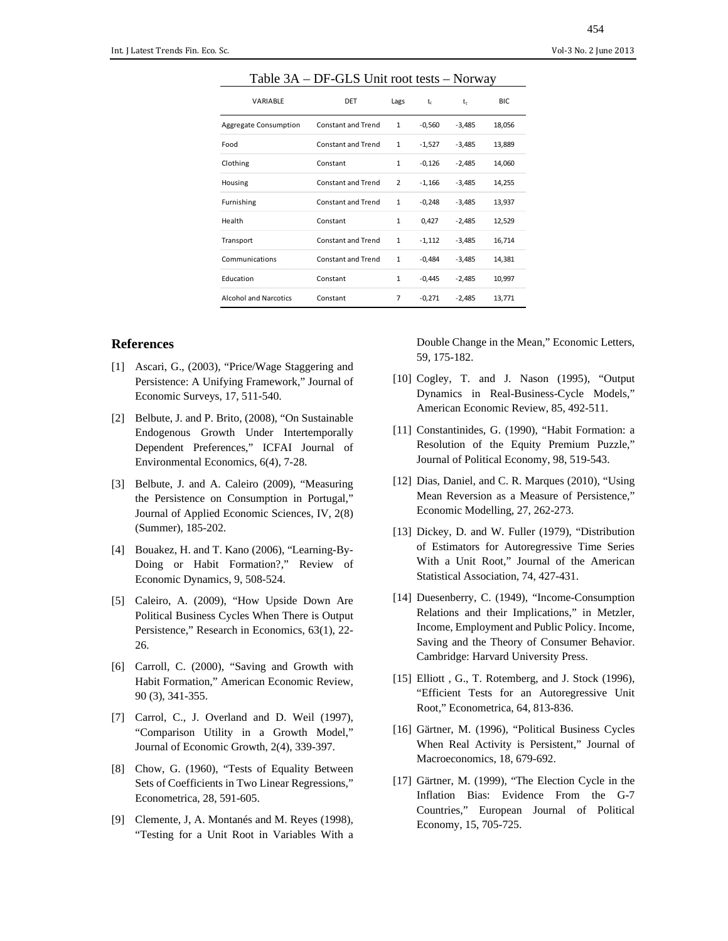| Table 3A – DF-GLS Unit root tests – Norway |                           |      |             |          |            |
|--------------------------------------------|---------------------------|------|-------------|----------|------------|
| VARIABLE                                   | <b>DET</b>                | Lags | $t_{\cdot}$ | t,       | <b>BIC</b> |
| Aggregate Consumption                      | <b>Constant and Trend</b> | 1    | $-0,560$    | $-3,485$ | 18,056     |
| Food                                       | Constant and Trend        | 1    | $-1,527$    | $-3,485$ | 13,889     |
| Clothing                                   | Constant                  | 1    | $-0,126$    | $-2,485$ | 14,060     |
| Housing                                    | Constant and Trend        | 2    | $-1,166$    | $-3,485$ | 14,255     |
| Furnishing                                 | Constant and Trend        | 1    | $-0,248$    | $-3,485$ | 13,937     |
| Health                                     | Constant                  | 1    | 0,427       | $-2,485$ | 12,529     |
| Transport                                  | <b>Constant and Trend</b> | 1    | $-1,112$    | $-3,485$ | 16,714     |
| Communications                             | Constant and Trend        | 1    | $-0,484$    | $-3,485$ | 14,381     |
| Education                                  | Constant                  | 1    | $-0,445$    | $-2,485$ | 10,997     |
| Alcohol and Narcotics                      | Constant                  | 7    | $-0,271$    | $-2,485$ | 13,771     |

# Table 3A – DF-GLS Unit root tests – Norway

#### **References**

- [1] Ascari, G., (2003), "Price/Wage Staggering and Persistence: A Unifying Framework," Journal of Economic Surveys, 17, 511-540.
- [2] Belbute, J. and P. Brito, (2008), "On Sustainable Endogenous Growth Under Intertemporally Dependent Preferences," ICFAI Journal of Environmental Economics, 6(4), 7-28.
- [3] Belbute, J. and A. Caleiro (2009), "Measuring the Persistence on Consumption in Portugal," Journal of Applied Economic Sciences, IV, 2(8) (Summer), 185-202.
- [4] Bouakez, H. and T. Kano (2006), "Learning-By-Doing or Habit Formation?," Review of Economic Dynamics, 9, 508-524.
- [5] Caleiro, A. (2009), "How Upside Down Are Political Business Cycles When There is Output Persistence," Research in Economics, 63(1), 22- 26.
- [6] Carroll, C. (2000), "Saving and Growth with Habit Formation," American Economic Review, 90 (3), 341-355.
- [7] Carrol, C., J. Overland and D. Weil (1997), "Comparison Utility in a Growth Model," Journal of Economic Growth, 2(4), 339-397.
- [8] Chow, G. (1960), "Tests of Equality Between Sets of Coefficients in Two Linear Regressions," Econometrica, 28, 591-605.
- [9] Clemente, J, A. Montanés and M. Reyes (1998), "Testing for a Unit Root in Variables With a

Double Change in the Mean," Economic Letters, 59, 175-182.

- [10] Cogley, T. and J. Nason (1995), "Output Dynamics in Real-Business-Cycle Models," American Economic Review, 85, 492-511.
- [11] Constantinides, G. (1990), "Habit Formation: a Resolution of the Equity Premium Puzzle," Journal of Political Economy, 98, 519-543.
- [12] Dias, Daniel, and C. R. Marques (2010), "Using Mean Reversion as a Measure of Persistence," Economic Modelling, 27, 262-273.
- [13] Dickey, D. and W. Fuller (1979), "Distribution of Estimators for Autoregressive Time Series With a Unit Root," Journal of the American Statistical Association, 74, 427-431.
- [14] Duesenberry, C. (1949), "Income-Consumption Relations and their Implications," in Metzler, Income, Employment and Public Policy. Income, Saving and the Theory of Consumer Behavior. Cambridge: Harvard University Press.
- [15] Elliott, G., T. Rotemberg, and J. Stock (1996), "Efficient Tests for an Autoregressive Unit Root," Econometrica, 64, 813-836.
- [16] Gärtner, M. (1996), "Political Business Cycles When Real Activity is Persistent," Journal of Macroeconomics, 18, 679-692.
- [17] Gärtner, M. (1999), "The Election Cycle in the Inflation Bias: Evidence From the G-7 Countries," European Journal of Political Economy, 15, 705-725.